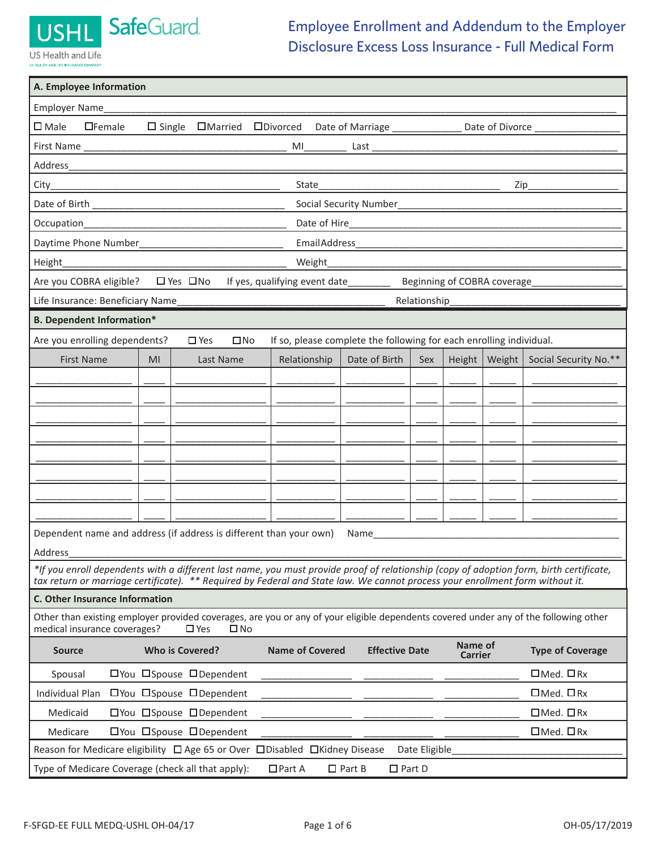SafeGuard

## US Health and Life US HEALTH AND LIFE INSURANCE CO

**USHL** 

## Employee Enrollment and Addendum to the Employer Disclosure Excess Loss Insurance - Full Medical Form

| A. Employee Information                                                                                                                                                                      |  |  |  |  |  |
|----------------------------------------------------------------------------------------------------------------------------------------------------------------------------------------------|--|--|--|--|--|
| Employer Name                                                                                                                                                                                |  |  |  |  |  |
| $\square$ Male<br>$\Box$ Female<br>$\Box$ Single $\Box$ Married $\Box$ Divorced<br>Date of Marriage _______________<br>Date of Divorce _                                                     |  |  |  |  |  |
|                                                                                                                                                                                              |  |  |  |  |  |
|                                                                                                                                                                                              |  |  |  |  |  |
| State_                                                                                                                                                                                       |  |  |  |  |  |
|                                                                                                                                                                                              |  |  |  |  |  |
| Occupation_<br><u> 2000 - Jan James James Jan James James James James James James James James James James James James James Jam</u>                                                          |  |  |  |  |  |
|                                                                                                                                                                                              |  |  |  |  |  |
| Height<br>Weight_<br>the control of the control of the control of                                                                                                                            |  |  |  |  |  |
| □ Yes □No<br>Are you COBRA eligible?<br>If yes, qualifying event date_______<br>Beginning of COBRA coverage                                                                                  |  |  |  |  |  |
| Life Insurance: Beneficiary Name<br>Relationship                                                                                                                                             |  |  |  |  |  |
| <b>B. Dependent Information*</b>                                                                                                                                                             |  |  |  |  |  |
| If so, please complete the following for each enrolling individual.<br>Are you enrolling dependents?<br>$\square$ Yes<br>$\square$ No                                                        |  |  |  |  |  |
| Date of Birth<br>Weight $ $<br>Social Security No.**<br><b>First Name</b><br>Last Name<br>Relationship<br>Height $ $<br>MI<br>Sex                                                            |  |  |  |  |  |
|                                                                                                                                                                                              |  |  |  |  |  |
|                                                                                                                                                                                              |  |  |  |  |  |
|                                                                                                                                                                                              |  |  |  |  |  |
|                                                                                                                                                                                              |  |  |  |  |  |
|                                                                                                                                                                                              |  |  |  |  |  |
|                                                                                                                                                                                              |  |  |  |  |  |
|                                                                                                                                                                                              |  |  |  |  |  |
|                                                                                                                                                                                              |  |  |  |  |  |
| Dependent name and address (if address is different than your own)<br>Name                                                                                                                   |  |  |  |  |  |
| Address                                                                                                                                                                                      |  |  |  |  |  |
| *If you enroll dependents with a different last name, you must provide proof of relationship (copy of adoption form, birth certificate,                                                      |  |  |  |  |  |
| tax return or marriage certificate). ** Required by Federal and State law. We cannot process your enrollment form without it.<br>C. Other Insurance Information                              |  |  |  |  |  |
| Other than existing employer provided coverages, are you or any of your eligible dependents covered under any of the following other<br>medical insurance coverages?<br>$\square$ Yes<br>□No |  |  |  |  |  |
| Name of<br><b>Name of Covered</b><br><b>Effective Date</b><br><b>Who is Covered?</b><br><b>Type of Coverage</b><br><b>Source</b><br><b>Carrier</b>                                           |  |  |  |  |  |
| $\Box$ Med. $\Box$ Rx<br>口You 口Spouse 口Dependent<br>Spousal                                                                                                                                  |  |  |  |  |  |
| $\Box$ Med. $\Box$ Rx<br>Individual Plan<br>□You □Spouse □Dependent                                                                                                                          |  |  |  |  |  |
| Medicaid<br>□You □Spouse □Dependent<br>$\Box$ Med. $\Box$ Rx                                                                                                                                 |  |  |  |  |  |
| 口You 口Spouse 口Dependent<br>$\Box$ Med. $\Box$ Rx<br>Medicare                                                                                                                                 |  |  |  |  |  |
| Reason for Medicare eligibility □ Age 65 or Over □ Disabled □ Kidney Disease<br>Date Eligible                                                                                                |  |  |  |  |  |
| Type of Medicare Coverage (check all that apply):<br>$\Box$ Part A<br>$\Box$ Part B<br>$\Box$ Part D                                                                                         |  |  |  |  |  |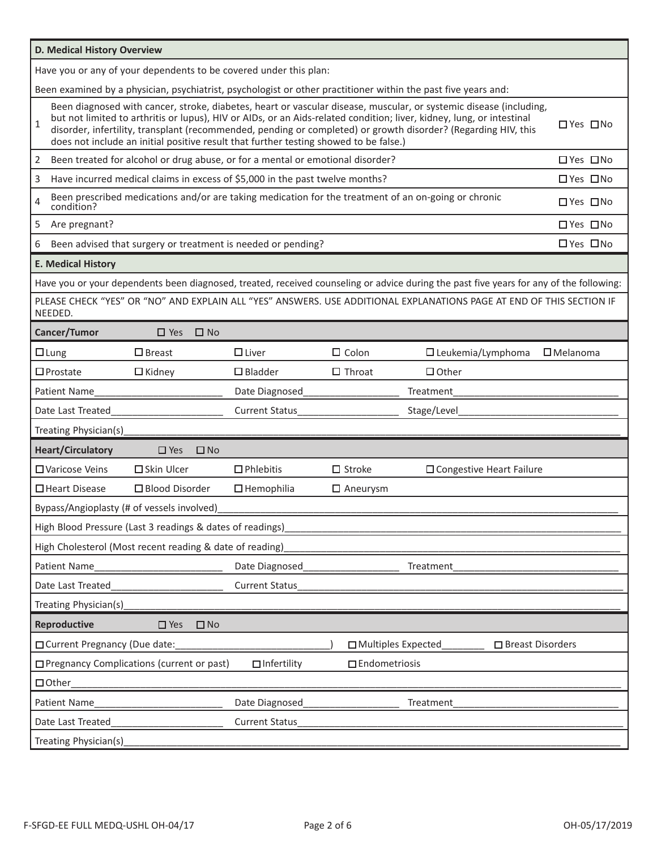| D. Medical History Overview                                       |                                                                                                                                                                                                                                                                                                                                                                                                                                                                                                                                                                                        |                                                                                |                    |                      |                                                                                                                                         |  |                    |
|-------------------------------------------------------------------|----------------------------------------------------------------------------------------------------------------------------------------------------------------------------------------------------------------------------------------------------------------------------------------------------------------------------------------------------------------------------------------------------------------------------------------------------------------------------------------------------------------------------------------------------------------------------------------|--------------------------------------------------------------------------------|--------------------|----------------------|-----------------------------------------------------------------------------------------------------------------------------------------|--|--------------------|
| Have you or any of your dependents to be covered under this plan: |                                                                                                                                                                                                                                                                                                                                                                                                                                                                                                                                                                                        |                                                                                |                    |                      |                                                                                                                                         |  |                    |
|                                                                   |                                                                                                                                                                                                                                                                                                                                                                                                                                                                                                                                                                                        |                                                                                |                    |                      |                                                                                                                                         |  |                    |
| $\mathbf{1}$                                                      | Been examined by a physician, psychiatrist, psychologist or other practitioner within the past five years and:<br>Been diagnosed with cancer, stroke, diabetes, heart or vascular disease, muscular, or systemic disease (including,<br>but not limited to arthritis or lupus), HIV or AIDs, or an Aids-related condition; liver, kidney, lung, or intestinal<br>□ Yes □ No<br>disorder, infertility, transplant (recommended, pending or completed) or growth disorder? (Regarding HIV, this<br>does not include an initial positive result that further testing showed to be false.) |                                                                                |                    |                      |                                                                                                                                         |  |                    |
| 2                                                                 |                                                                                                                                                                                                                                                                                                                                                                                                                                                                                                                                                                                        | Been treated for alcohol or drug abuse, or for a mental or emotional disorder? |                    |                      |                                                                                                                                         |  | □ Yes □ No         |
| 3                                                                 |                                                                                                                                                                                                                                                                                                                                                                                                                                                                                                                                                                                        | Have incurred medical claims in excess of \$5,000 in the past twelve months?   |                    |                      |                                                                                                                                         |  | □ Yes □ No         |
| 4<br>condition?                                                   |                                                                                                                                                                                                                                                                                                                                                                                                                                                                                                                                                                                        |                                                                                |                    |                      | Been prescribed medications and/or are taking medication for the treatment of an on-going or chronic                                    |  | □ Yes □ No         |
| 5<br>Are pregnant?                                                |                                                                                                                                                                                                                                                                                                                                                                                                                                                                                                                                                                                        |                                                                                |                    |                      |                                                                                                                                         |  | □ Yes □ No         |
| 6                                                                 |                                                                                                                                                                                                                                                                                                                                                                                                                                                                                                                                                                                        | Been advised that surgery or treatment is needed or pending?                   |                    |                      |                                                                                                                                         |  | □ Yes □ No         |
| <b>E. Medical History</b>                                         |                                                                                                                                                                                                                                                                                                                                                                                                                                                                                                                                                                                        |                                                                                |                    |                      |                                                                                                                                         |  |                    |
|                                                                   |                                                                                                                                                                                                                                                                                                                                                                                                                                                                                                                                                                                        |                                                                                |                    |                      | Have you or your dependents been diagnosed, treated, received counseling or advice during the past five years for any of the following: |  |                    |
| NEEDED.                                                           |                                                                                                                                                                                                                                                                                                                                                                                                                                                                                                                                                                                        |                                                                                |                    |                      | PLEASE CHECK "YES" OR "NO" AND EXPLAIN ALL "YES" ANSWERS. USE ADDITIONAL EXPLANATIONS PAGE AT END OF THIS SECTION IF                    |  |                    |
| Cancer/Tumor                                                      | $\Box$ Yes                                                                                                                                                                                                                                                                                                                                                                                                                                                                                                                                                                             | $\square$ No                                                                   |                    |                      |                                                                                                                                         |  |                    |
| $\Box$ Lung                                                       | $\square$ Breast                                                                                                                                                                                                                                                                                                                                                                                                                                                                                                                                                                       | $\Box$ Liver                                                                   |                    | $\Box$ Colon         | $\Box$ Leukemia/Lymphoma                                                                                                                |  | $\Box$ Melanoma    |
| $\square$ Prostate                                                | $\Box$ Kidney                                                                                                                                                                                                                                                                                                                                                                                                                                                                                                                                                                          | $\Box$ Bladder                                                                 |                    | $\Box$ Throat        | $\Box$ Other                                                                                                                            |  |                    |
| <b>Patient Name</b>                                               |                                                                                                                                                                                                                                                                                                                                                                                                                                                                                                                                                                                        | Date Diagnosed                                                                 |                    |                      | Treatment                                                                                                                               |  |                    |
| Date Last Treated                                                 |                                                                                                                                                                                                                                                                                                                                                                                                                                                                                                                                                                                        | <b>Current Status</b>                                                          |                    |                      | Stage/Level                                                                                                                             |  |                    |
| Treating Physician(s)                                             |                                                                                                                                                                                                                                                                                                                                                                                                                                                                                                                                                                                        |                                                                                |                    |                      |                                                                                                                                         |  |                    |
| <b>Heart/Circulatory</b>                                          | $\Box$ Yes                                                                                                                                                                                                                                                                                                                                                                                                                                                                                                                                                                             | $\Box$ No                                                                      |                    |                      |                                                                                                                                         |  |                    |
| □ Varicose Veins                                                  | $\square$ Skin Ulcer                                                                                                                                                                                                                                                                                                                                                                                                                                                                                                                                                                   | $\Box$ Phlebitis                                                               |                    | $\Box$ Stroke        | □ Congestive Heart Failure                                                                                                              |  |                    |
| □ Heart Disease                                                   | $\square$ Blood Disorder                                                                                                                                                                                                                                                                                                                                                                                                                                                                                                                                                               | $\Box$ Hemophilia                                                              |                    | $\Box$ Aneurysm      |                                                                                                                                         |  |                    |
| Bypass/Angioplasty (# of vessels involved)                        |                                                                                                                                                                                                                                                                                                                                                                                                                                                                                                                                                                                        |                                                                                |                    |                      |                                                                                                                                         |  |                    |
| High Blood Pressure (Last 3 readings & dates of readings)         |                                                                                                                                                                                                                                                                                                                                                                                                                                                                                                                                                                                        |                                                                                |                    |                      |                                                                                                                                         |  |                    |
| High Cholesterol (Most recent reading & date of reading)          |                                                                                                                                                                                                                                                                                                                                                                                                                                                                                                                                                                                        |                                                                                |                    |                      |                                                                                                                                         |  |                    |
| Date Diagnosed<br>Patient Name<br>Treatment                       |                                                                                                                                                                                                                                                                                                                                                                                                                                                                                                                                                                                        |                                                                                |                    |                      |                                                                                                                                         |  |                    |
| Date Last Treated                                                 |                                                                                                                                                                                                                                                                                                                                                                                                                                                                                                                                                                                        | <b>Current Status</b>                                                          |                    |                      |                                                                                                                                         |  |                    |
| Treating Physician(s)                                             |                                                                                                                                                                                                                                                                                                                                                                                                                                                                                                                                                                                        |                                                                                |                    |                      |                                                                                                                                         |  |                    |
| Reproductive                                                      | $\square$ Yes                                                                                                                                                                                                                                                                                                                                                                                                                                                                                                                                                                          | $\square$ No                                                                   |                    |                      |                                                                                                                                         |  |                    |
| □ Current Pregnancy (Due date:                                    |                                                                                                                                                                                                                                                                                                                                                                                                                                                                                                                                                                                        |                                                                                |                    | □ Multiples Expected |                                                                                                                                         |  | □ Breast Disorders |
| □ Pregnancy Complications (current or past)                       |                                                                                                                                                                                                                                                                                                                                                                                                                                                                                                                                                                                        |                                                                                | $\Box$ Infertility | $\Box$ Endometriosis |                                                                                                                                         |  |                    |
| $\Box$ Other                                                      |                                                                                                                                                                                                                                                                                                                                                                                                                                                                                                                                                                                        |                                                                                |                    |                      |                                                                                                                                         |  |                    |
| Patient Name                                                      |                                                                                                                                                                                                                                                                                                                                                                                                                                                                                                                                                                                        | Date Diagnosed                                                                 |                    |                      | Treatment                                                                                                                               |  |                    |
| Date Last Treated                                                 |                                                                                                                                                                                                                                                                                                                                                                                                                                                                                                                                                                                        | Current Status                                                                 |                    |                      |                                                                                                                                         |  |                    |
| Treating Physician(s)                                             |                                                                                                                                                                                                                                                                                                                                                                                                                                                                                                                                                                                        |                                                                                |                    |                      |                                                                                                                                         |  |                    |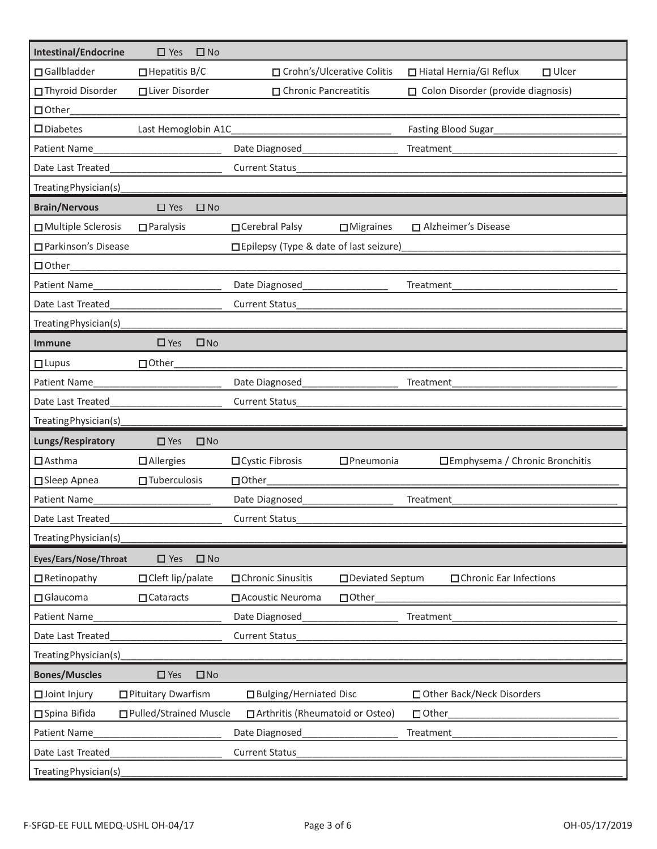| <b>Intestinal/Endocrine</b> | $\square$ Yes            | $\square$ No |                                          |  |                                                        |
|-----------------------------|--------------------------|--------------|------------------------------------------|--|--------------------------------------------------------|
| □ Gallbladder               | $\Box$ Hepatitis B/C     |              | □ Crohn's/Ulcerative Colitis             |  | □ Hiatal Hernia/GI Reflux<br>$\Box$ Ulcer              |
| □ Thyroid Disorder          | □ Liver Disorder         |              | □ Chronic Pancreatitis                   |  | □ Colon Disorder (provide diagnosis)                   |
| $\Box$ Other                |                          |              |                                          |  |                                                        |
| $\square$ Diabetes          | Last Hemoglobin A1C      |              |                                          |  | Fasting Blood Sugar                                    |
| Patient Name                |                          |              | Date Diagnosed                           |  | Treatment                                              |
| Date Last Treated           |                          |              | <b>Current Status</b>                    |  |                                                        |
| Treating Physician(s)       |                          |              |                                          |  |                                                        |
| <b>Brain/Nervous</b>        | $\square$ Yes            | $\square$ No |                                          |  |                                                        |
| □ Multiple Sclerosis        | $\Box$ Paralysis         |              | □ Cerebral Palsy<br>$\Box$ Migraines     |  | □ Alzheimer's Disease                                  |
| □ Parkinson's Disease       |                          |              | □ Epilepsy (Type & date of last seizure) |  |                                                        |
| $\Box$ Other                |                          |              |                                          |  |                                                        |
| <b>Patient Name</b>         |                          |              | Date Diagnosed                           |  | Treatment                                              |
| Date Last Treated           |                          |              | <b>Current Status</b>                    |  |                                                        |
| Treating Physician(s)       |                          |              |                                          |  |                                                        |
| <b>Immune</b>               | $\Box$ Yes               | $\square$ No |                                          |  |                                                        |
| $\Box$ Lupus                | □ Other                  |              |                                          |  |                                                        |
| Patient Name                |                          |              | Date Diagnosed                           |  | Treatment                                              |
| Date Last Treated           |                          |              | <b>Current Status</b>                    |  |                                                        |
| Treating Physician(s)       |                          |              |                                          |  |                                                        |
| Lungs/Respiratory           | $\square$ Yes            | $\square$ No |                                          |  |                                                        |
| $\Box$ Asthma               | $\Box$ Allergies         |              | $\Box$ Pneumonia<br>□ Cystic Fibrosis    |  | □Emphysema / Chronic Bronchitis                        |
| □ Sleep Apnea               | $\Box$ Tuberculosis      |              | $\Box$ Other                             |  |                                                        |
| <b>Patient Name</b>         |                          |              | Date Diagnosed                           |  | Treatment                                              |
| Date Last Treated           |                          |              | <b>Current Status</b>                    |  |                                                        |
| Treating Physician(s)       |                          |              |                                          |  |                                                        |
| Eyes/Ears/Nose/Throat       | $\square$ Yes            | $\square$ No |                                          |  |                                                        |
| $\Box$ Retinopathy          | □ Cleft lip/palate       |              | □ Deviated Septum<br>□ Chronic Sinusitis |  | □ Chronic Ear Infections                               |
| □ Glaucoma                  | $\Box$ Cataracts         |              | □ Acoustic Neuroma<br>□ Other            |  |                                                        |
| Patient Name                |                          |              | Date Diagnosed                           |  | Treatment                                              |
| Date Last Treated           |                          |              | <b>Current Status</b>                    |  |                                                        |
| Treating Physician(s)       |                          |              |                                          |  |                                                        |
| <b>Bones/Muscles</b>        | $\square$ Yes            | $\square$ No |                                          |  |                                                        |
| □ Joint Injury              | □ Pituitary Dwarfism     |              | □ Bulging/Herniated Disc                 |  | □ Other Back/Neck Disorders                            |
| □ Spina Bifida              | □ Pulled/Strained Muscle |              | □ Arthritis (Rheumatoid or Osteo)        |  | $\Box$ Other_<br><u> a shekara ta 1999 a shekara t</u> |
| Patient Name                |                          |              | Date Diagnosed                           |  | Treatment                                              |
| Date Last Treated           |                          |              | Current Status                           |  |                                                        |
| Treating Physician(s)       |                          |              |                                          |  |                                                        |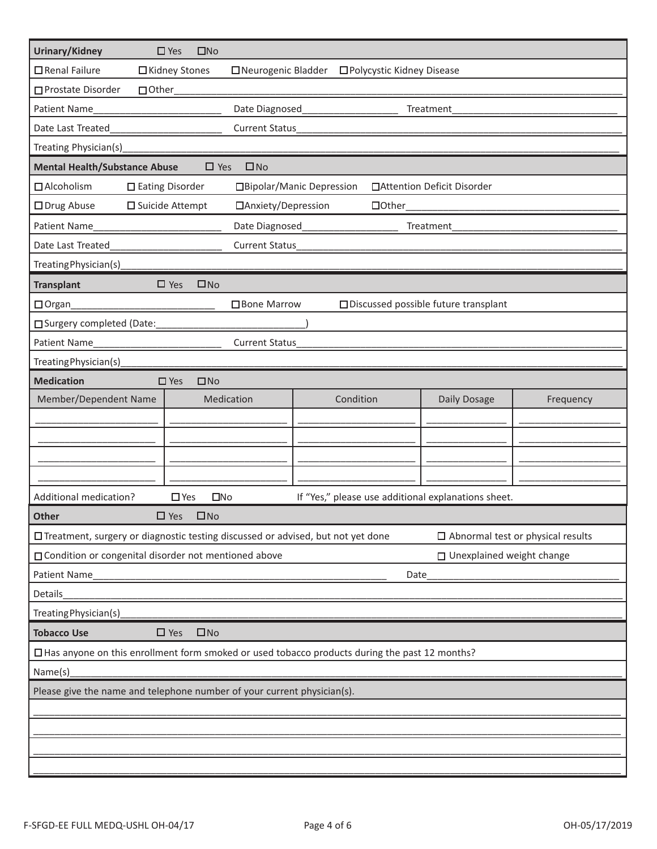| Urinary/Kidney                                                                                                                | $\square$ No<br>$\square$ Yes            |                             |                                        |           |  |
|-------------------------------------------------------------------------------------------------------------------------------|------------------------------------------|-----------------------------|----------------------------------------|-----------|--|
| □ Renal Failure                                                                                                               | □ Kidney Stones<br>□ Neurogenic Bladder  | □ Polycystic Kidney Disease |                                        |           |  |
| □ Prostate Disorder<br>□ Other                                                                                                |                                          |                             |                                        |           |  |
| <b>Patient Name</b>                                                                                                           | Date Diagnosed<br>Treatment              |                             |                                        |           |  |
| Date Last Treated                                                                                                             | <b>Current Status</b>                    |                             |                                        |           |  |
| Treating Physician(s)                                                                                                         |                                          |                             |                                        |           |  |
| <b>Mental Health/Substance Abuse</b>                                                                                          | $\Box$ Yes<br>$\square$ No               |                             |                                        |           |  |
| □ Alcoholism                                                                                                                  | □ Eating Disorder                        | □Bipolar/Manic Depression   | □ Attention Deficit Disorder           |           |  |
| □ Drug Abuse                                                                                                                  | □ Suicide Attempt<br>□Anxiety/Depression | $\Box$ Other                |                                        |           |  |
| Patient Name                                                                                                                  | Date Diagnosed_                          |                             | Treatment                              |           |  |
| Date Last Treated                                                                                                             | <b>Current Status</b>                    |                             |                                        |           |  |
| Treating Physician(s)                                                                                                         |                                          |                             |                                        |           |  |
| <b>Transplant</b>                                                                                                             | $\square$ No<br>$\square$ Yes            |                             |                                        |           |  |
| $\Box$ Organ                                                                                                                  | □ Bone Marrow                            |                             | □ Discussed possible future transplant |           |  |
| □ Surgery completed (Date:                                                                                                    |                                          |                             |                                        |           |  |
| Patient Name                                                                                                                  | Current Status                           |                             |                                        |           |  |
| Treating Physician(s)                                                                                                         |                                          |                             |                                        |           |  |
| <b>Medication</b>                                                                                                             | $\square$ No<br>$\square$ Yes            |                             |                                        |           |  |
| Member/Dependent Name                                                                                                         | Medication                               | Condition                   | Daily Dosage                           | Frequency |  |
|                                                                                                                               |                                          |                             |                                        |           |  |
|                                                                                                                               |                                          |                             |                                        |           |  |
|                                                                                                                               |                                          |                             |                                        |           |  |
|                                                                                                                               |                                          |                             |                                        |           |  |
| Additional medication?<br>$\square$ No<br>If "Yes," please use additional explanations sheet.<br>$\square$ Yes                |                                          |                             |                                        |           |  |
| $\Box$ Yes<br>$\square$ No<br><b>Other</b>                                                                                    |                                          |                             |                                        |           |  |
| □ Treatment, surgery or diagnostic testing discussed or advised, but not yet done<br>$\Box$ Abnormal test or physical results |                                          |                             |                                        |           |  |
| □ Condition or congenital disorder not mentioned above<br>□ Unexplained weight change                                         |                                          |                             |                                        |           |  |
| Patient Name<br>Date                                                                                                          |                                          |                             |                                        |           |  |
| Details                                                                                                                       |                                          |                             |                                        |           |  |
| Treating Physician(s)                                                                                                         |                                          |                             |                                        |           |  |
| <b>Tobacco Use</b><br>$\Box$ Yes<br>$\square$ No                                                                              |                                          |                             |                                        |           |  |
| □ Has anyone on this enrollment form smoked or used tobacco products during the past 12 months?                               |                                          |                             |                                        |           |  |
| Name(s)                                                                                                                       |                                          |                             |                                        |           |  |
| Please give the name and telephone number of your current physician(s).                                                       |                                          |                             |                                        |           |  |
|                                                                                                                               |                                          |                             |                                        |           |  |
|                                                                                                                               |                                          |                             |                                        |           |  |
|                                                                                                                               |                                          |                             |                                        |           |  |
|                                                                                                                               |                                          |                             |                                        |           |  |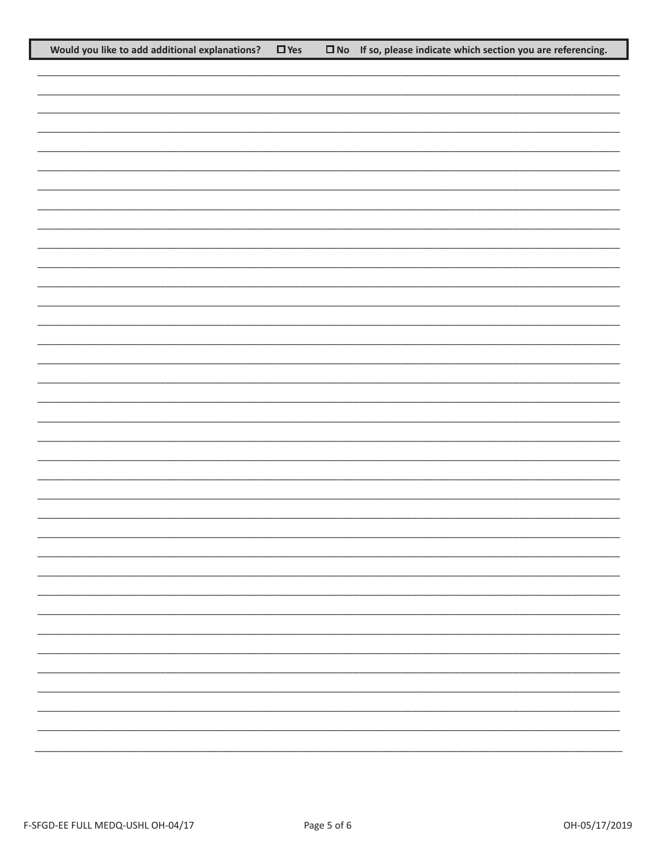| Would you like to add additional explanations? | $\Box$ Yes | $\square$ No If so, please indicate which section you are referencing. |
|------------------------------------------------|------------|------------------------------------------------------------------------|
|                                                |            |                                                                        |
|                                                |            |                                                                        |
|                                                |            |                                                                        |
|                                                |            |                                                                        |
|                                                |            |                                                                        |
|                                                |            |                                                                        |
|                                                |            |                                                                        |
|                                                |            |                                                                        |
|                                                |            |                                                                        |
|                                                |            |                                                                        |
|                                                |            |                                                                        |
|                                                |            |                                                                        |
|                                                |            |                                                                        |
|                                                |            |                                                                        |
|                                                |            |                                                                        |
|                                                |            |                                                                        |
|                                                |            |                                                                        |
|                                                |            |                                                                        |
|                                                |            |                                                                        |
|                                                |            |                                                                        |
|                                                |            |                                                                        |
|                                                |            |                                                                        |
|                                                |            |                                                                        |
|                                                |            |                                                                        |
|                                                |            |                                                                        |
|                                                |            |                                                                        |
|                                                |            |                                                                        |
|                                                |            |                                                                        |
|                                                |            |                                                                        |
|                                                |            |                                                                        |
|                                                |            |                                                                        |
|                                                |            |                                                                        |
|                                                |            |                                                                        |
|                                                |            |                                                                        |
|                                                |            |                                                                        |
|                                                |            |                                                                        |
|                                                |            |                                                                        |
|                                                |            |                                                                        |